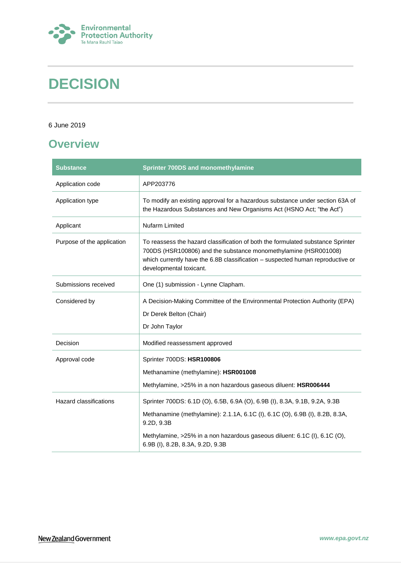

# **DECISION**

#### 6 June 2019

# <span id="page-0-0"></span>**Overview**

| <b>Substance</b>              | <b>Sprinter 700DS and monomethylamine</b>                                                                                                                                                                                                                       |  |
|-------------------------------|-----------------------------------------------------------------------------------------------------------------------------------------------------------------------------------------------------------------------------------------------------------------|--|
| Application code              | APP203776                                                                                                                                                                                                                                                       |  |
| Application type              | To modify an existing approval for a hazardous substance under section 63A of<br>the Hazardous Substances and New Organisms Act (HSNO Act; "the Act")                                                                                                           |  |
| Applicant                     | Nufarm Limited                                                                                                                                                                                                                                                  |  |
| Purpose of the application    | To reassess the hazard classification of both the formulated substance Sprinter<br>700DS (HSR100806) and the substance monomethylamine (HSR001008)<br>which currently have the 6.8B classification - suspected human reproductive or<br>developmental toxicant. |  |
| Submissions received          | One (1) submission - Lynne Clapham.                                                                                                                                                                                                                             |  |
| Considered by                 | A Decision-Making Committee of the Environmental Protection Authority (EPA)<br>Dr Derek Belton (Chair)<br>Dr John Taylor                                                                                                                                        |  |
| Decision                      | Modified reassessment approved                                                                                                                                                                                                                                  |  |
| Approval code                 | Sprinter 700DS: HSR100806<br>Methanamine (methylamine): HSR001008<br>Methylamine, >25% in a non hazardous gaseous diluent: HSR006444                                                                                                                            |  |
| <b>Hazard classifications</b> | Sprinter 700DS: 6.1D (O), 6.5B, 6.9A (O), 6.9B (I), 8.3A, 9.1B, 9.2A, 9.3B                                                                                                                                                                                      |  |
|                               | Methanamine (methylamine): 2.1.1A, 6.1C (I), 6.1C (O), 6.9B (I), 8.2B, 8.3A,<br>9.2D, 9.3B                                                                                                                                                                      |  |
|                               | Methylamine, >25% in a non hazardous gaseous diluent: 6.1C (I), 6.1C (O),<br>6.9B (I), 8.2B, 8.3A, 9.2D, 9.3B                                                                                                                                                   |  |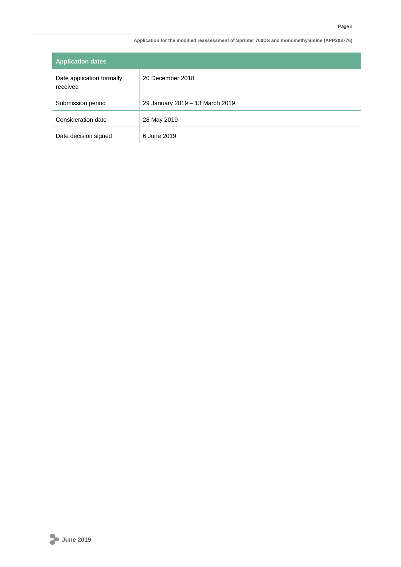| <b>Application dates</b>              |                                 |
|---------------------------------------|---------------------------------|
| Date application formally<br>received | 20 December 2018                |
| Submission period                     | 29 January 2019 - 13 March 2019 |
| Consideration date                    | 28 May 2019                     |
| Date decision signed                  | 6 June 2019                     |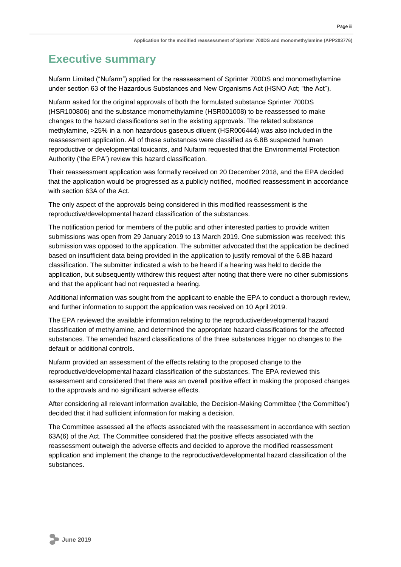# <span id="page-2-0"></span>**Executive summary**

Nufarm Limited ("Nufarm") applied for the reassessment of Sprinter 700DS and monomethylamine under section 63 of the Hazardous Substances and New Organisms Act (HSNO Act; "the Act").

Nufarm asked for the original approvals of both the formulated substance Sprinter 700DS (HSR100806) and the substance monomethylamine (HSR001008) to be reassessed to make changes to the hazard classifications set in the existing approvals. The related substance methylamine, >25% in a non hazardous gaseous diluent (HSR006444) was also included in the reassessment application. All of these substances were classified as 6.8B suspected human reproductive or developmental toxicants, and Nufarm requested that the Environmental Protection Authority ('the EPA') review this hazard classification.

Their reassessment application was formally received on 20 December 2018, and the EPA decided that the application would be progressed as a publicly notified, modified reassessment in accordance with section 63A of the Act.

The only aspect of the approvals being considered in this modified reassessment is the reproductive/developmental hazard classification of the substances.

The notification period for members of the public and other interested parties to provide written submissions was open from 29 January 2019 to 13 March 2019. One submission was received: this submission was opposed to the application. The submitter advocated that the application be declined based on insufficient data being provided in the application to justify removal of the 6.8B hazard classification. The submitter indicated a wish to be heard if a hearing was held to decide the application, but subsequently withdrew this request after noting that there were no other submissions and that the applicant had not requested a hearing.

Additional information was sought from the applicant to enable the EPA to conduct a thorough review, and further information to support the application was received on 10 April 2019.

The EPA reviewed the available information relating to the reproductive/developmental hazard classification of methylamine, and determined the appropriate hazard classifications for the affected substances. The amended hazard classifications of the three substances trigger no changes to the default or additional controls.

Nufarm provided an assessment of the effects relating to the proposed change to the reproductive/developmental hazard classification of the substances. The EPA reviewed this assessment and considered that there was an overall positive effect in making the proposed changes to the approvals and no significant adverse effects.

After considering all relevant information available, the Decision-Making Committee ('the Committee') decided that it had sufficient information for making a decision.

The Committee assessed all the effects associated with the reassessment in accordance with section 63A(6) of the Act. The Committee considered that the positive effects associated with the reassessment outweigh the adverse effects and decided to approve the modified reassessment application and implement the change to the reproductive/developmental hazard classification of the substances.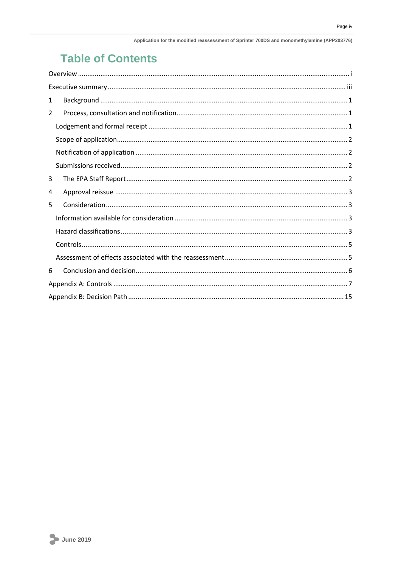# **Table of Contents**

| 1 |
|---|
| 2 |
|   |
|   |
|   |
|   |
| 3 |
| 4 |
| 5 |
|   |
|   |
|   |
|   |
| 6 |
|   |
|   |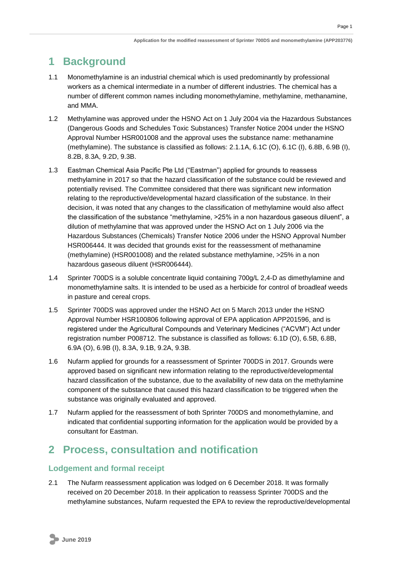# <span id="page-4-0"></span>**1 Background**

- 1.1 Monomethylamine is an industrial chemical which is used predominantly by professional workers as a chemical intermediate in a number of different industries. The chemical has a number of different common names including monomethylamine, methylamine, methanamine, and MMA.
- 1.2 Methylamine was approved under the HSNO Act on 1 July 2004 via the Hazardous Substances (Dangerous Goods and Schedules Toxic Substances) Transfer Notice 2004 under the HSNO Approval Number HSR001008 and the approval uses the substance name: methanamine (methylamine). The substance is classified as follows: 2.1.1A, 6.1C (O), 6.1C (I), 6.8B, 6.9B (I), 8.2B, 8.3A, 9.2D, 9.3B.
- 1.3 Eastman Chemical Asia Pacific Pte Ltd ("Eastman") applied for grounds to reassess methylamine in 2017 so that the hazard classification of the substance could be reviewed and potentially revised. The Committee considered that there was significant new information relating to the reproductive/developmental hazard classification of the substance. In their decision, it was noted that any changes to the classification of methylamine would also affect the classification of the substance "methylamine, >25% in a non hazardous gaseous diluent", a dilution of methylamine that was approved under the HSNO Act on 1 July 2006 via the Hazardous Substances (Chemicals) Transfer Notice 2006 under the HSNO Approval Number HSR006444. It was decided that grounds exist for the reassessment of methanamine (methylamine) (HSR001008) and the related substance methylamine, >25% in a non hazardous gaseous diluent (HSR006444).
- 1.4 Sprinter 700DS is a soluble concentrate liquid containing 700g/L 2,4-D as dimethylamine and monomethylamine salts. It is intended to be used as a herbicide for control of broadleaf weeds in pasture and cereal crops.
- 1.5 Sprinter 700DS was approved under the HSNO Act on 5 March 2013 under the HSNO Approval Number HSR100806 following approval of EPA application APP201596, and is registered under the Agricultural Compounds and Veterinary Medicines ("ACVM") Act under registration number P008712. The substance is classified as follows: 6.1D (O), 6.5B, 6.8B, 6.9A (O), 6.9B (I), 8.3A, 9.1B, 9.2A, 9.3B.
- 1.6 Nufarm applied for grounds for a reassessment of Sprinter 700DS in 2017. Grounds were approved based on significant new information relating to the reproductive/developmental hazard classification of the substance, due to the availability of new data on the methylamine component of the substance that caused this hazard classification to be triggered when the substance was originally evaluated and approved.
- 1.7 Nufarm applied for the reassessment of both Sprinter 700DS and monomethylamine, and indicated that confidential supporting information for the application would be provided by a consultant for Eastman.

# <span id="page-4-1"></span>**2 Process, consultation and notification**

### <span id="page-4-2"></span>**Lodgement and formal receipt**

2.1 The Nufarm reassessment application was lodged on 6 December 2018. It was formally received on 20 December 2018. In their application to reassess Sprinter 700DS and the methylamine substances, Nufarm requested the EPA to review the reproductive/developmental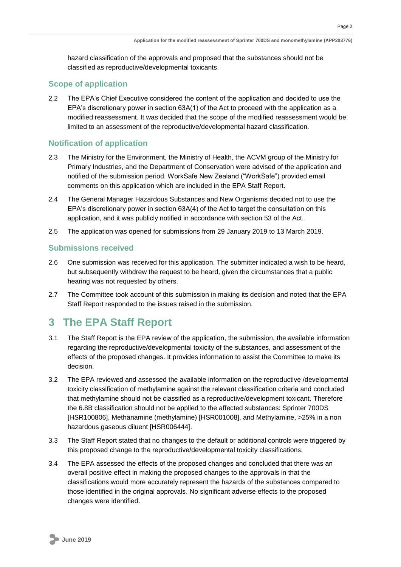hazard classification of the approvals and proposed that the substances should not be classified as reproductive/developmental toxicants.

#### <span id="page-5-0"></span>**Scope of application**

2.2 The EPA's Chief Executive considered the content of the application and decided to use the EPA's discretionary power in section 63A(1) of the Act to proceed with the application as a modified reassessment. It was decided that the scope of the modified reassessment would be limited to an assessment of the reproductive/developmental hazard classification.

#### <span id="page-5-1"></span>**Notification of application**

- 2.3 The Ministry for the Environment, the Ministry of Health, the ACVM group of the Ministry for Primary Industries, and the Department of Conservation were advised of the application and notified of the submission period. WorkSafe New Zealand ("WorkSafe") provided email comments on this application which are included in the EPA Staff Report.
- 2.4 The General Manager Hazardous Substances and New Organisms decided not to use the EPA's discretionary power in section 63A(4) of the Act to target the consultation on this application, and it was publicly notified in accordance with section 53 of the Act.
- 2.5 The application was opened for submissions from 29 January 2019 to 13 March 2019.

#### <span id="page-5-2"></span>**Submissions received**

- 2.6 One submission was received for this application. The submitter indicated a wish to be heard, but subsequently withdrew the request to be heard, given the circumstances that a public hearing was not requested by others.
- 2.7 The Committee took account of this submission in making its decision and noted that the EPA Staff Report responded to the issues raised in the submission.

## <span id="page-5-3"></span>**3 The EPA Staff Report**

- 3.1 The Staff Report is the EPA review of the application, the submission, the available information regarding the reproductive/developmental toxicity of the substances, and assessment of the effects of the proposed changes. It provides information to assist the Committee to make its decision.
- 3.2 The EPA reviewed and assessed the available information on the reproductive /developmental toxicity classification of methylamine against the relevant classification criteria and concluded that methylamine should not be classified as a reproductive/development toxicant. Therefore the 6.8B classification should not be applied to the affected substances: Sprinter 700DS [HSR100806], Methanamine (methylamine) [HSR001008], and Methylamine, >25% in a non hazardous gaseous diluent [HSR006444].
- 3.3 The Staff Report stated that no changes to the default or additional controls were triggered by this proposed change to the reproductive/developmental toxicity classifications.
- 3.4 The EPA assessed the effects of the proposed changes and concluded that there was an overall positive effect in making the proposed changes to the approvals in that the classifications would more accurately represent the hazards of the substances compared to those identified in the original approvals. No significant adverse effects to the proposed changes were identified.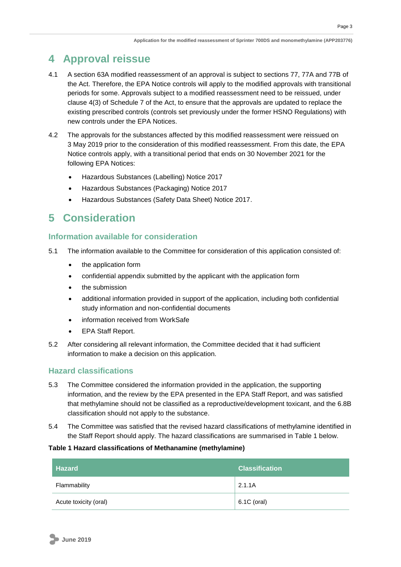### <span id="page-6-0"></span>**4 Approval reissue**

- 4.1 A section 63A modified reassessment of an approval is subject to sections 77, 77A and 77B of the Act. Therefore, the EPA Notice controls will apply to the modified approvals with transitional periods for some. Approvals subject to a modified reassessment need to be reissued, under clause 4(3) of Schedule 7 of the Act, to ensure that the approvals are updated to replace the existing prescribed controls (controls set previously under the former HSNO Regulations) with new controls under the EPA Notices.
- 4.2 The approvals for the substances affected by this modified reassessment were reissued on 3 May 2019 prior to the consideration of this modified reassessment. From this date, the EPA Notice controls apply, with a transitional period that ends on 30 November 2021 for the following EPA Notices:
	- Hazardous Substances (Labelling) Notice 2017
	- Hazardous Substances (Packaging) Notice 2017
	- Hazardous Substances (Safety Data Sheet) Notice 2017.

## <span id="page-6-1"></span>**5 Consideration**

#### <span id="page-6-2"></span>**Information available for consideration**

- 5.1 The information available to the Committee for consideration of this application consisted of:
	- the application form
	- confidential appendix submitted by the applicant with the application form
	- the submission
	- additional information provided in support of the application, including both confidential study information and non-confidential documents
	- information received from WorkSafe
	- EPA Staff Report.
- 5.2 After considering all relevant information, the Committee decided that it had sufficient information to make a decision on this application.

#### <span id="page-6-3"></span>**Hazard classifications**

- 5.3 The Committee considered the information provided in the application, the supporting information, and the review by the EPA presented in the EPA Staff Report, and was satisfied that methylamine should not be classified as a reproductive/development toxicant, and the 6.8B classification should not apply to the substance.
- 5.4 The Committee was satisfied that the revised hazard classifications of methylamine identified in the Staff Report should apply. The hazard classifications are summarised in Table 1 below.

#### **Table 1 Hazard classifications of Methanamine (methylamine)**

| <b>Hazard</b>         | <b>Classification</b> |
|-----------------------|-----------------------|
| Flammability          | 2.1.1A                |
| Acute toxicity (oral) | $6.1C$ (oral)         |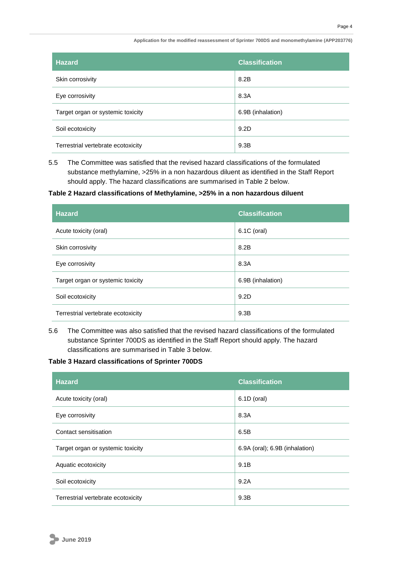| <b>Hazard</b>                      | <b>Classification</b> |
|------------------------------------|-----------------------|
| Skin corrosivity                   | 8.2B                  |
| Eye corrosivity                    | 8.3A                  |
| Target organ or systemic toxicity  | 6.9B (inhalation)     |
| Soil ecotoxicity                   | 9.2D                  |
| Terrestrial vertebrate ecotoxicity | 9.3B                  |

5.5 The Committee was satisfied that the revised hazard classifications of the formulated substance methylamine, >25% in a non hazardous diluent as identified in the Staff Report should apply. The hazard classifications are summarised in Table 2 below.

#### **Table 2 Hazard classifications of Methylamine, >25% in a non hazardous diluent**

| <b>Hazard</b>                      | <b>Classification</b> |
|------------------------------------|-----------------------|
| Acute toxicity (oral)              | 6.1C (oral)           |
| Skin corrosivity                   | 8.2B                  |
| Eye corrosivity                    | 8.3A                  |
| Target organ or systemic toxicity  | 6.9B (inhalation)     |
| Soil ecotoxicity                   | 9.2D                  |
| Terrestrial vertebrate ecotoxicity | 9.3B                  |

5.6 The Committee was also satisfied that the revised hazard classifications of the formulated substance Sprinter 700DS as identified in the Staff Report should apply. The hazard classifications are summarised in Table 3 below.

#### **Table 3 Hazard classifications of Sprinter 700DS**

| <b>Hazard</b>                      | <b>Classification</b>          |
|------------------------------------|--------------------------------|
| Acute toxicity (oral)              | 6.1D (oral)                    |
| Eye corrosivity                    | 8.3A                           |
| Contact sensitisation              | 6.5B                           |
| Target organ or systemic toxicity  | 6.9A (oral); 6.9B (inhalation) |
| Aquatic ecotoxicity                | 9.1B                           |
| Soil ecotoxicity                   | 9.2A                           |
| Terrestrial vertebrate ecotoxicity | 9.3B                           |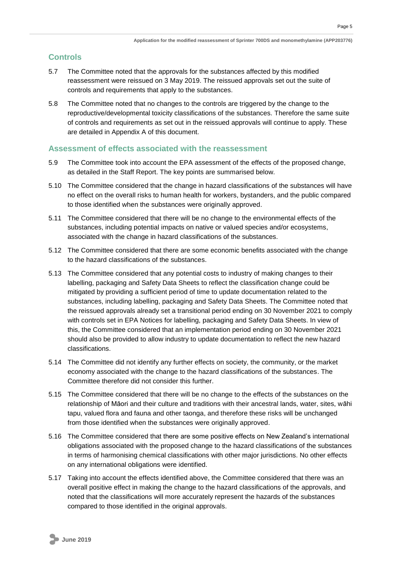### <span id="page-8-0"></span>**Controls**

- 5.7 The Committee noted that the approvals for the substances affected by this modified reassessment were reissued on 3 May 2019. The reissued approvals set out the suite of controls and requirements that apply to the substances.
- 5.8 The Committee noted that no changes to the controls are triggered by the change to the reproductive/developmental toxicity classifications of the substances. Therefore the same suite of controls and requirements as set out in the reissued approvals will continue to apply. These are detailed in Appendix A of this document.

#### <span id="page-8-1"></span>**Assessment of effects associated with the reassessment**

- 5.9 The Committee took into account the EPA assessment of the effects of the proposed change, as detailed in the Staff Report. The key points are summarised below.
- 5.10 The Committee considered that the change in hazard classifications of the substances will have no effect on the overall risks to human health for workers, bystanders, and the public compared to those identified when the substances were originally approved.
- 5.11 The Committee considered that there will be no change to the environmental effects of the substances, including potential impacts on native or valued species and/or ecosystems, associated with the change in hazard classifications of the substances.
- 5.12 The Committee considered that there are some economic benefits associated with the change to the hazard classifications of the substances.
- 5.13 The Committee considered that any potential costs to industry of making changes to their labelling, packaging and Safety Data Sheets to reflect the classification change could be mitigated by providing a sufficient period of time to update documentation related to the substances, including labelling, packaging and Safety Data Sheets. The Committee noted that the reissued approvals already set a transitional period ending on 30 November 2021 to comply with controls set in EPA Notices for labelling, packaging and Safety Data Sheets. In view of this, the Committee considered that an implementation period ending on 30 November 2021 should also be provided to allow industry to update documentation to reflect the new hazard classifications.
- 5.14 The Committee did not identify any further effects on society, the community, or the market economy associated with the change to the hazard classifications of the substances. The Committee therefore did not consider this further.
- 5.15 The Committee considered that there will be no change to the effects of the substances on the relationship of Māori and their culture and traditions with their ancestral lands, water, sites, wāhi tapu, valued flora and fauna and other taonga, and therefore these risks will be unchanged from those identified when the substances were originally approved.
- 5.16 The Committee considered that there are some positive effects on New Zealand's international obligations associated with the proposed change to the hazard classifications of the substances in terms of harmonising chemical classifications with other major jurisdictions. No other effects on any international obligations were identified.
- 5.17 Taking into account the effects identified above, the Committee considered that there was an overall positive effect in making the change to the hazard classifications of the approvals, and noted that the classifications will more accurately represent the hazards of the substances compared to those identified in the original approvals.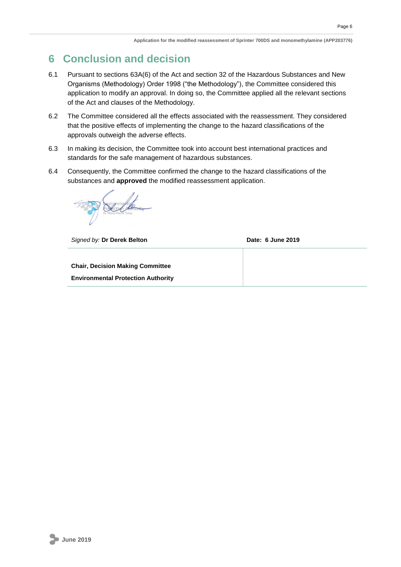## <span id="page-9-0"></span>**6 Conclusion and decision**

- 6.1 Pursuant to sections 63A(6) of the Act and section 32 of the Hazardous Substances and New Organisms (Methodology) Order 1998 ("the Methodology"), the Committee considered this application to modify an approval. In doing so, the Committee applied all the relevant sections of the Act and clauses of the Methodology.
- 6.2 The Committee considered all the effects associated with the reassessment. They considered that the positive effects of implementing the change to the hazard classifications of the approvals outweigh the adverse effects.
- 6.3 In making its decision, the Committee took into account best international practices and standards for the safe management of hazardous substances.
- 6.4 Consequently, the Committee confirmed the change to the hazard classifications of the substances and **approved** the modified reassessment application.

**Signed by: Dr Derek Belton Date: 6 June 2019 Chair, Decision Making Committee Environmental Protection Authority**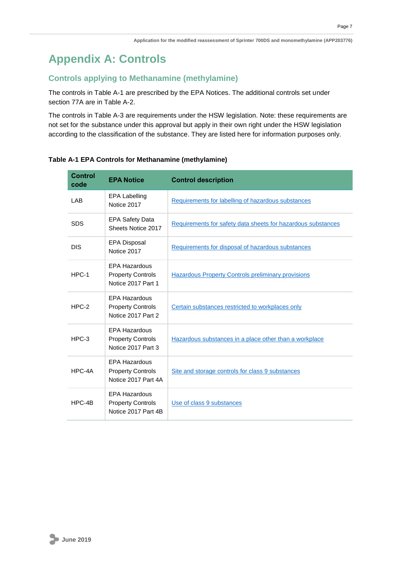# <span id="page-10-0"></span>**Appendix A: Controls**

### **Controls applying to Methanamine (methylamine)**

The controls in Table A-1 are prescribed by the EPA Notices. The additional controls set under section 77A are in Table A-2.

The controls in Table A-3 are requirements under the HSW legislation. Note: these requirements are not set for the substance under this approval but apply in their own right under the HSW legislation according to the classification of the substance. They are listed here for information purposes only.

| <b>Control</b><br>code | <b>EPA Notice</b>                                                       | <b>Control description</b>                                   |
|------------------------|-------------------------------------------------------------------------|--------------------------------------------------------------|
| LAB                    | <b>EPA Labelling</b><br>Notice 2017                                     | Requirements for labelling of hazardous substances           |
| <b>SDS</b>             | <b>EPA Safety Data</b><br>Sheets Notice 2017                            | Requirements for safety data sheets for hazardous substances |
| <b>DIS</b>             | <b>EPA Disposal</b><br>Notice 2017                                      | Requirements for disposal of hazardous substances            |
| HPC-1                  | <b>EPA Hazardous</b><br><b>Property Controls</b><br>Notice 2017 Part 1  | <b>Hazardous Property Controls preliminary provisions</b>    |
| $HPC-2$                | <b>EPA Hazardous</b><br><b>Property Controls</b><br>Notice 2017 Part 2  | Certain substances restricted to workplaces only             |
| $HPC-3$                | <b>EPA Hazardous</b><br><b>Property Controls</b><br>Notice 2017 Part 3  | Hazardous substances in a place other than a workplace       |
| HPC-4A                 | <b>EPA Hazardous</b><br><b>Property Controls</b><br>Notice 2017 Part 4A | Site and storage controls for class 9 substances             |
| HPC-4B                 | <b>EPA Hazardous</b><br><b>Property Controls</b><br>Notice 2017 Part 4B | Use of class 9 substances                                    |

#### **Table A-1 EPA Controls for Methanamine (methylamine)**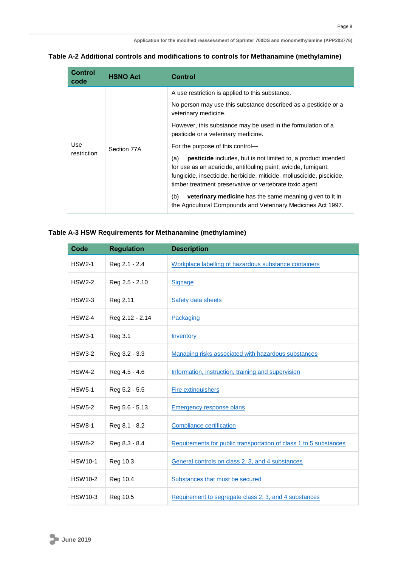| Table A-2 Additional controls and modifications to controls for Methanamine (methylamine) |  |  |  |  |  |
|-------------------------------------------------------------------------------------------|--|--|--|--|--|
|-------------------------------------------------------------------------------------------|--|--|--|--|--|

| Control<br>code    | <b>HSNO Act</b> | Control                                                                                                                                                                                                                                                                           |
|--------------------|-----------------|-----------------------------------------------------------------------------------------------------------------------------------------------------------------------------------------------------------------------------------------------------------------------------------|
| Use<br>restriction | Section 77A     | A use restriction is applied to this substance.                                                                                                                                                                                                                                   |
|                    |                 | No person may use this substance described as a pesticide or a<br>veterinary medicine.                                                                                                                                                                                            |
|                    |                 | However, this substance may be used in the formulation of a<br>pesticide or a veterinary medicine.                                                                                                                                                                                |
|                    |                 | For the purpose of this control—                                                                                                                                                                                                                                                  |
|                    |                 | <b>pesticide</b> includes, but is not limited to, a product intended<br>(a)<br>for use as an acaricide, antifouling paint, avicide, fumigant,<br>fungicide, insecticide, herbicide, miticide, molluscicide, piscicide,<br>timber treatment preservative or vertebrate toxic agent |
|                    |                 | <b>veterinary medicine</b> has the same meaning given to it in<br>(b)<br>the Agricultural Compounds and Veterinary Medicines Act 1997.                                                                                                                                            |

### **Table A-3 HSW Requirements for Methanamine (methylamine)**

| <b>Code</b>    | <b>Regulation</b> | <b>Description</b>                                                |
|----------------|-------------------|-------------------------------------------------------------------|
| <b>HSW2-1</b>  | Reg 2.1 - 2.4     | Workplace labelling of hazardous substance containers             |
| <b>HSW2-2</b>  | Reg 2.5 - 2.10    | <b>Signage</b>                                                    |
| <b>HSW2-3</b>  | Reg 2.11          | <b>Safety data sheets</b>                                         |
| <b>HSW2-4</b>  | Reg 2.12 - 2.14   | Packaging                                                         |
| <b>HSW3-1</b>  | Reg 3.1           | Inventory                                                         |
| <b>HSW3-2</b>  | Reg 3.2 - 3.3     | Managing risks associated with hazardous substances               |
| <b>HSW4-2</b>  | Reg 4.5 - 4.6     | Information, instruction, training and supervision                |
| <b>HSW5-1</b>  | Reg 5.2 - 5.5     | <b>Fire extinguishers</b>                                         |
| <b>HSW5-2</b>  | Reg 5.6 - 5.13    | <b>Emergency response plans</b>                                   |
| <b>HSW8-1</b>  | Reg 8.1 - 8.2     | <b>Compliance certification</b>                                   |
| <b>HSW8-2</b>  | Reg 8.3 - 8.4     | Requirements for public transportation of class 1 to 5 substances |
| <b>HSW10-1</b> | Reg 10.3          | General controls on class 2, 3, and 4 substances                  |
| <b>HSW10-2</b> | Reg 10.4          | Substances that must be secured                                   |
| <b>HSW10-3</b> | Reg 10.5          | Requirement to segregate class 2, 3, and 4 substances             |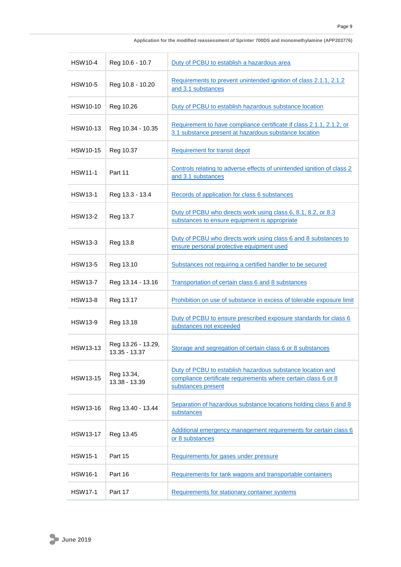| <b>HSW10-4</b>  | Reg 10.6 - 10.7                     | Duty of PCBU to establish a hazardous area                                                                                                         |
|-----------------|-------------------------------------|----------------------------------------------------------------------------------------------------------------------------------------------------|
| <b>HSW10-5</b>  | Reg 10.8 - 10.20                    | Requirements to prevent unintended ignition of class 2.1.1, 2.1.2<br>and 3.1 substances                                                            |
| HSW10-10        | Reg 10.26                           | Duty of PCBU to establish hazardous substance location                                                                                             |
| HSW10-13        | Reg 10.34 - 10.35                   | Requirement to have compliance certificate if class 2.1.1, 2.1.2, or<br>3.1 substance present at hazardous substance location                      |
| <b>HSW10-15</b> | Reg 10.37                           | <b>Requirement for transit depot</b>                                                                                                               |
| <b>HSW11-1</b>  | Part 11                             | Controls relating to adverse effects of unintended ignition of class 2<br>and 3.1 substances                                                       |
| <b>HSW13-1</b>  | Reg 13.3 - 13.4                     | Records of application for class 6 substances                                                                                                      |
| <b>HSW13-2</b>  | Reg 13.7                            | Duty of PCBU who directs work using class 6, 8.1, 8.2, or 8.3<br>substances to ensure equipment is appropriate                                     |
| <b>HSW13-3</b>  | Reg 13.8                            | Duty of PCBU who directs work using class 6 and 8 substances to<br>ensure personal protective equipment used                                       |
| <b>HSW13-5</b>  | Reg 13.10                           | Substances not requiring a certified handler to be secured                                                                                         |
| <b>HSW13-7</b>  | Reg 13.14 - 13.16                   | Transportation of certain class 6 and 8 substances                                                                                                 |
| <b>HSW13-8</b>  | Reg 13.17                           | Prohibition on use of substance in excess of tolerable exposure limit                                                                              |
| <b>HSW13-9</b>  | Reg 13.18                           | Duty of PCBU to ensure prescribed exposure standards for class 6<br>substances not exceeded                                                        |
| <b>HSW13-13</b> | Reg 13.26 - 13.29,<br>13.35 - 13.37 | Storage and segregation of certain class 6 or 8 substances                                                                                         |
| <b>HSW13-15</b> | Reg 13.34,<br>13.38 - 13.39         | Duty of PCBU to establish hazardous substance location and<br>compliance certificate requirements where certain class 6 or 8<br>substances present |
| HSW13-16        | Reg 13.40 - 13.44                   | Separation of hazardous substance locations holding class 6 and 8<br>substances                                                                    |
| <b>HSW13-17</b> | Reg 13.45                           | Additional emergency management requirements for certain class 6<br>or 8 substances                                                                |
| <b>HSW15-1</b>  | Part 15                             | Requirements for gases under pressure                                                                                                              |
| <b>HSW16-1</b>  | Part 16                             | Requirements for tank wagons and transportable containers                                                                                          |
| <b>HSW17-1</b>  | Part 17                             | Requirements for stationary container systems                                                                                                      |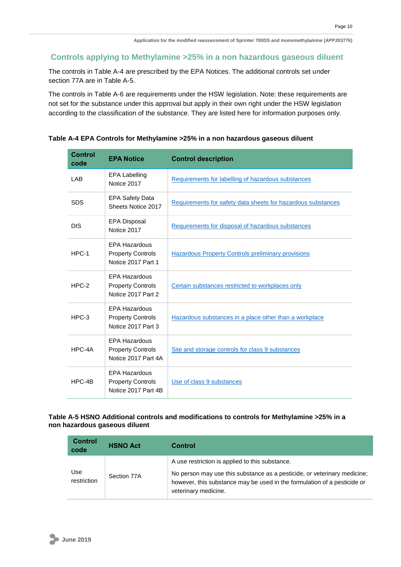#### **Controls applying to Methylamine >25% in a non hazardous gaseous diluent**

The controls in Table A-4 are prescribed by the EPA Notices. The additional controls set under section 77A are in Table A-5.

The controls in Table A-6 are requirements under the HSW legislation. Note: these requirements are not set for the substance under this approval but apply in their own right under the HSW legislation according to the classification of the substance. They are listed here for information purposes only.

#### **Table A-4 EPA Controls for Methylamine >25% in a non hazardous gaseous diluent**

| <b>Control</b><br>code | <b>EPA Notice</b>                                                       | <b>Control description</b>                                   |
|------------------------|-------------------------------------------------------------------------|--------------------------------------------------------------|
| <b>LAB</b>             | <b>EPA Labelling</b><br>Notice 2017                                     | Requirements for labelling of hazardous substances           |
| <b>SDS</b>             | <b>EPA Safety Data</b><br>Sheets Notice 2017                            | Requirements for safety data sheets for hazardous substances |
| <b>DIS</b>             | EPA Disposal<br>Notice 2017                                             | Requirements for disposal of hazardous substances            |
| HPC-1                  | <b>EPA Hazardous</b><br><b>Property Controls</b><br>Notice 2017 Part 1  | <b>Hazardous Property Controls preliminary provisions</b>    |
| $HPC-2$                | <b>EPA Hazardous</b><br><b>Property Controls</b><br>Notice 2017 Part 2  | Certain substances restricted to workplaces only             |
| $HPC-3$                | <b>EPA Hazardous</b><br><b>Property Controls</b><br>Notice 2017 Part 3  | Hazardous substances in a place other than a workplace       |
| HPC-4A                 | <b>EPA Hazardous</b><br><b>Property Controls</b><br>Notice 2017 Part 4A | Site and storage controls for class 9 substances             |
| HPC-4B                 | <b>EPA Hazardous</b><br><b>Property Controls</b><br>Notice 2017 Part 4B | Use of class 9 substances                                    |

#### **Table A-5 HSNO Additional controls and modifications to controls for Methylamine >25% in a non hazardous gaseous diluent**

| <b>Control</b><br>code | <b>HSNO Act</b> | Control                                                                                                                                                                                                                         |
|------------------------|-----------------|---------------------------------------------------------------------------------------------------------------------------------------------------------------------------------------------------------------------------------|
| Use<br>restriction     | Section 77A     | A use restriction is applied to this substance.<br>No person may use this substance as a pesticide, or veterinary medicine;<br>however, this substance may be used in the formulation of a pesticide or<br>veterinary medicine. |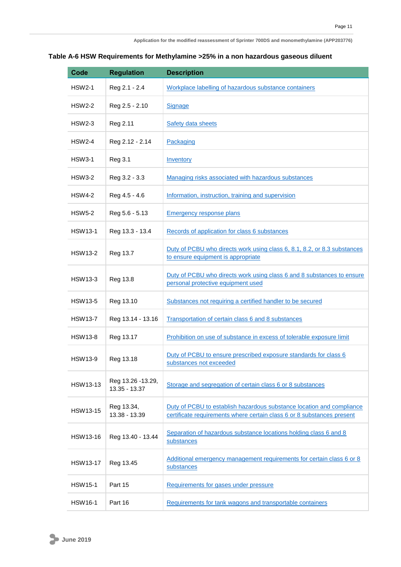#### **Table A-6 HSW Requirements for Methylamine >25% in a non hazardous gaseous diluent**

| <b>Code</b>     | <b>Regulation</b>                  | <b>Description</b>                                                                                                                              |
|-----------------|------------------------------------|-------------------------------------------------------------------------------------------------------------------------------------------------|
| <b>HSW2-1</b>   | Reg 2.1 - 2.4                      | Workplace labelling of hazardous substance containers                                                                                           |
| HSW2-2          | Reg 2.5 - 2.10                     | Signage                                                                                                                                         |
| <b>HSW2-3</b>   | Reg 2.11                           | Safety data sheets                                                                                                                              |
| <b>HSW2-4</b>   | Reg 2.12 - 2.14                    | Packaging                                                                                                                                       |
| <b>HSW3-1</b>   | Reg 3.1                            | Inventory                                                                                                                                       |
| <b>HSW3-2</b>   | Reg 3.2 - 3.3                      | Managing risks associated with hazardous substances                                                                                             |
| <b>HSW4-2</b>   | Reg 4.5 - 4.6                      | Information, instruction, training and supervision                                                                                              |
| <b>HSW5-2</b>   | Reg 5.6 - 5.13                     | <b>Emergency response plans</b>                                                                                                                 |
| <b>HSW13-1</b>  | Reg 13.3 - 13.4                    | Records of application for class 6 substances                                                                                                   |
| <b>HSW13-2</b>  | Reg 13.7                           | Duty of PCBU who directs work using class 6, 8.1, 8.2, or 8.3 substances<br>to ensure equipment is appropriate                                  |
| <b>HSW13-3</b>  | Reg 13.8                           | Duty of PCBU who directs work using class 6 and 8 substances to ensure<br>personal protective equipment used                                    |
| <b>HSW13-5</b>  | Reg 13.10                          | Substances not requiring a certified handler to be secured                                                                                      |
| <b>HSW13-7</b>  | Reg 13.14 - 13.16                  | Transportation of certain class 6 and 8 substances                                                                                              |
| <b>HSW13-8</b>  | Reg 13.17                          | Prohibition on use of substance in excess of tolerable exposure limit                                                                           |
| <b>HSW13-9</b>  | Reg 13.18                          | Duty of PCBU to ensure prescribed exposure standards for class 6<br>substances not exceeded                                                     |
| <b>HSW13-13</b> | Reg 13.26 -13.29,<br>13.35 - 13.37 | Storage and segregation of certain class 6 or 8 substances                                                                                      |
| <b>HSW13-15</b> | Reg 13.34,<br>13.38 - 13.39        | Duty of PCBU to establish hazardous substance location and compliance<br>certificate requirements where certain class 6 or 8 substances present |
| HSW13-16        | Reg 13.40 - 13.44                  | Separation of hazardous substance locations holding class 6 and 8<br>substances                                                                 |
| <b>HSW13-17</b> | Reg 13.45                          | Additional emergency management requirements for certain class 6 or 8<br>substances                                                             |
| <b>HSW15-1</b>  | Part 15                            | Requirements for gases under pressure                                                                                                           |
| <b>HSW16-1</b>  | Part 16                            | Requirements for tank wagons and transportable containers                                                                                       |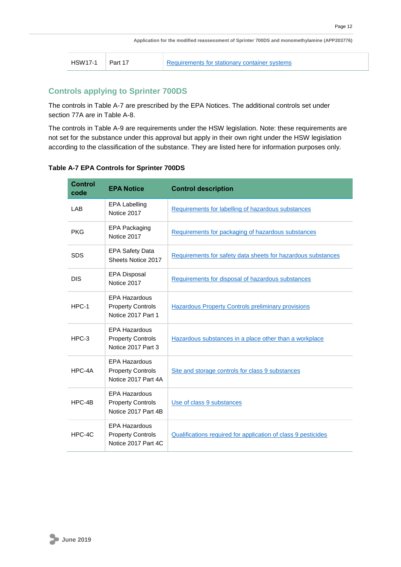| <b>HSW17-1</b> | Part 17 | <b>Requirements for st</b> |
|----------------|---------|----------------------------|
|                |         |                            |

tationary container systems

### **Controls applying to Sprinter 700DS**

The controls in Table A-7 are prescribed by the EPA Notices. The additional controls set under section 77A are in Table A-8.

The controls in Table A-9 are requirements under the HSW legislation. Note: these requirements are not set for the substance under this approval but apply in their own right under the HSW legislation according to the classification of the substance. They are listed here for information purposes only.

| <b>Control</b><br>code | <b>EPA Notice</b>                                                       | <b>Control description</b>                                    |
|------------------------|-------------------------------------------------------------------------|---------------------------------------------------------------|
| LAB                    | <b>EPA Labelling</b><br>Notice 2017                                     | Requirements for labelling of hazardous substances            |
| <b>PKG</b>             | EPA Packaging<br>Notice 2017                                            | Requirements for packaging of hazardous substances            |
| <b>SDS</b>             | <b>EPA Safety Data</b><br>Sheets Notice 2017                            | Requirements for safety data sheets for hazardous substances  |
| <b>DIS</b>             | EPA Disposal<br>Notice 2017                                             | Requirements for disposal of hazardous substances             |
| HPC-1                  | <b>EPA Hazardous</b><br><b>Property Controls</b><br>Notice 2017 Part 1  | <b>Hazardous Property Controls preliminary provisions</b>     |
| $HPC-3$                | <b>EPA Hazardous</b><br><b>Property Controls</b><br>Notice 2017 Part 3  | Hazardous substances in a place other than a workplace        |
| HPC-4A                 | <b>EPA Hazardous</b><br><b>Property Controls</b><br>Notice 2017 Part 4A | Site and storage controls for class 9 substances              |
| HPC-4B                 | <b>EPA Hazardous</b><br><b>Property Controls</b><br>Notice 2017 Part 4B | Use of class 9 substances                                     |
| HPC-4C                 | <b>EPA Hazardous</b><br><b>Property Controls</b><br>Notice 2017 Part 4C | Qualifications required for application of class 9 pesticides |

**Table A-7 EPA Controls for Sprinter 700DS**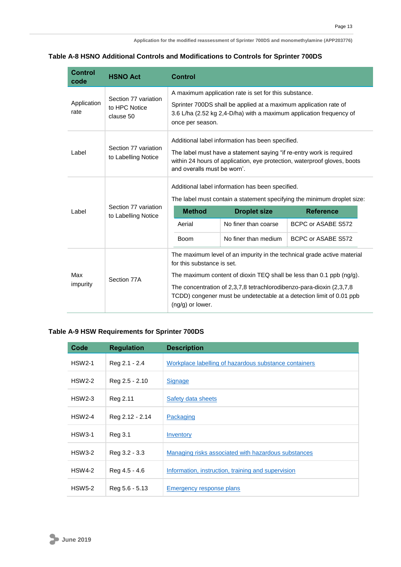#### **Table A-8 HSNO Additional Controls and Modifications to Controls for Sprinter 700DS**

| <b>Control</b><br>code | <b>HSNO Act</b>                                       | <b>Control</b>                                                                                                              |                                                                  |                                                                                                                                                                                                                                                                                                     |
|------------------------|-------------------------------------------------------|-----------------------------------------------------------------------------------------------------------------------------|------------------------------------------------------------------|-----------------------------------------------------------------------------------------------------------------------------------------------------------------------------------------------------------------------------------------------------------------------------------------------------|
| Section 77 variation   | A maximum application rate is set for this substance. |                                                                                                                             |                                                                  |                                                                                                                                                                                                                                                                                                     |
| Application<br>rate    | to HPC Notice<br>clause 50                            | once per season.                                                                                                            | Sprinter 700DS shall be applied at a maximum application rate of | 3.6 L/ha (2.52 kg 2,4-D/ha) with a maximum application frequency of                                                                                                                                                                                                                                 |
| Label                  | Section 77 variation<br>to Labelling Notice           | and overalls must be worn'.                                                                                                 | Additional label information has been specified.                 | The label must have a statement saying "if re-entry work is required<br>within 24 hours of application, eye protection, waterproof gloves, boots                                                                                                                                                    |
|                        |                                                       | Additional label information has been specified.<br>The label must contain a statement specifying the minimum droplet size: |                                                                  |                                                                                                                                                                                                                                                                                                     |
| Label                  | Section 77 variation<br>to Labelling Notice           | <b>Method</b>                                                                                                               | <b>Droplet size</b>                                              | <b>Reference</b>                                                                                                                                                                                                                                                                                    |
|                        |                                                       | Aerial                                                                                                                      | No finer than coarse                                             | BCPC or ASABE S572                                                                                                                                                                                                                                                                                  |
|                        |                                                       | <b>Boom</b>                                                                                                                 | No finer than medium                                             | BCPC or ASABE S572                                                                                                                                                                                                                                                                                  |
| Max<br>impurity        | Section 77A                                           | for this substance is set.<br>$(ng/g)$ or lower.                                                                            |                                                                  | The maximum level of an impurity in the technical grade active material<br>The maximum content of dioxin TEQ shall be less than 0.1 ppb $(nq/q)$ .<br>The concentration of 2,3,7,8 tetrachlorodibenzo-para-dioxin (2,3,7,8)<br>TCDD) congener must be undetectable at a detection limit of 0.01 ppb |

#### **Table A-9 HSW Requirements for Sprinter 700DS**

| Code          | <b>Regulation</b> | <b>Description</b>                                    |
|---------------|-------------------|-------------------------------------------------------|
| <b>HSW2-1</b> | Reg 2.1 - 2.4     | Workplace labelling of hazardous substance containers |
| <b>HSW2-2</b> | Reg 2.5 - 2.10    | <b>Signage</b>                                        |
| $HSW2-3$      | Reg 2.11          | Safety data sheets                                    |
| <b>HSW2-4</b> | Reg 2.12 - 2.14   | Packaging                                             |
| <b>HSW3-1</b> | Reg 3.1           | Inventory                                             |
| HSW3-2        | Reg 3.2 - 3.3     | Managing risks associated with hazardous substances   |
| <b>HSW4-2</b> | Reg 4.5 - 4.6     | Information, instruction, training and supervision    |
| <b>HSW5-2</b> | Reg 5.6 - 5.13    | Emergency response plans                              |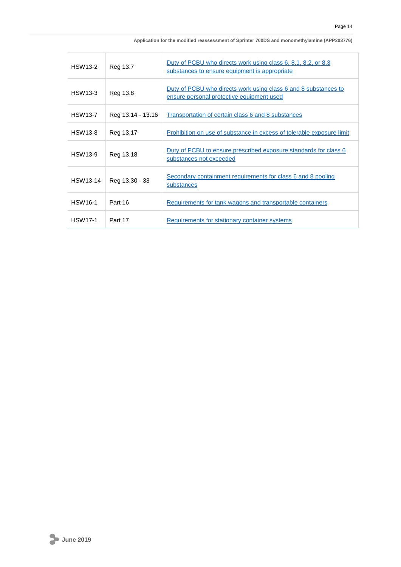| Application for the modified reassessment of Sprinter 700DS and monomethylamine (APP203776) |  |  |
|---------------------------------------------------------------------------------------------|--|--|
|---------------------------------------------------------------------------------------------|--|--|

| <b>HSW13-2</b> | Reg 13.7          | Duty of PCBU who directs work using class 6, 8.1, 8.2, or 8.3<br>substances to ensure equipment is appropriate |
|----------------|-------------------|----------------------------------------------------------------------------------------------------------------|
| <b>HSW13-3</b> | Reg 13.8          | Duty of PCBU who directs work using class 6 and 8 substances to<br>ensure personal protective equipment used   |
| <b>HSW13-7</b> | Reg 13.14 - 13.16 | <b>Transportation of certain class 6 and 8 substances</b>                                                      |
| <b>HSW13-8</b> | Reg 13.17         | Prohibition on use of substance in excess of tolerable exposure limit                                          |
| <b>HSW13-9</b> | Reg 13.18         | <u>Duty of PCBU to ensure prescribed exposure standards for class 6</u><br>substances not exceeded             |
| HSW13-14       | Reg 13.30 - 33    | Secondary containment requirements for class 6 and 8 pooling<br>substances                                     |
| <b>HSW16-1</b> | Part 16           | Requirements for tank wagons and transportable containers                                                      |
| <b>HSW17-1</b> | Part 17           | Requirements for stationary container systems                                                                  |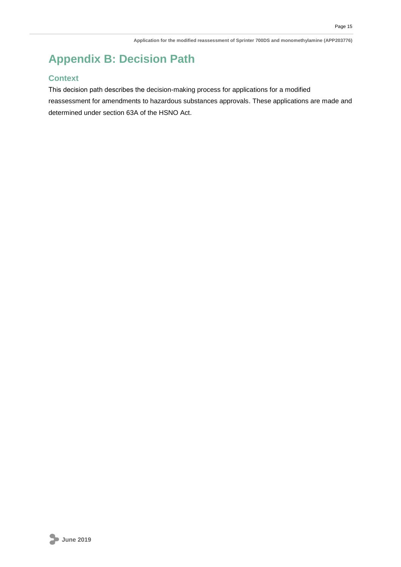# <span id="page-18-0"></span>**Appendix B: Decision Path**

### **Context**

This decision path describes the decision-making process for applications for a modified reassessment for amendments to hazardous substances approvals. These applications are made and determined under section 63A of the HSNO Act.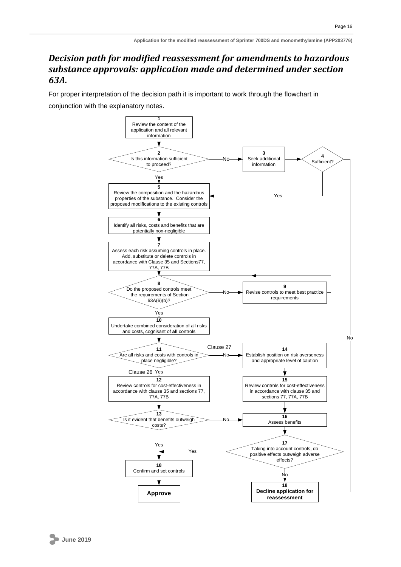### *Decision path for modified reassessment for amendments to hazardous substance approvals: application made and determined under section 63A.*

For proper interpretation of the decision path it is important to work through the flowchart in conjunction with the explanatory notes.

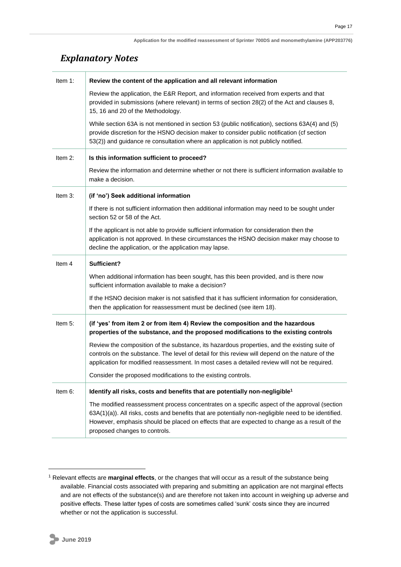### *Explanatory Notes*

| Item 1:    | Review the content of the application and all relevant information                                                                                                                                                                                                                              |
|------------|-------------------------------------------------------------------------------------------------------------------------------------------------------------------------------------------------------------------------------------------------------------------------------------------------|
|            | Review the application, the E&R Report, and information received from experts and that<br>provided in submissions (where relevant) in terms of section 28(2) of the Act and clauses 8,<br>15, 16 and 20 of the Methodology.                                                                     |
|            | While section 63A is not mentioned in section 53 (public notification), sections 63A(4) and (5)<br>provide discretion for the HSNO decision maker to consider public notification (cf section<br>53(2)) and guidance re consultation where an application is not publicly notified.             |
| Item $2$ : | Is this information sufficient to proceed?                                                                                                                                                                                                                                                      |
|            | Review the information and determine whether or not there is sufficient information available to<br>make a decision.                                                                                                                                                                            |
| Item 3:    | (if 'no') Seek additional information                                                                                                                                                                                                                                                           |
|            | If there is not sufficient information then additional information may need to be sought under<br>section 52 or 58 of the Act.                                                                                                                                                                  |
|            | If the applicant is not able to provide sufficient information for consideration then the<br>application is not approved. In these circumstances the HSNO decision maker may choose to<br>decline the application, or the application may lapse.                                                |
|            |                                                                                                                                                                                                                                                                                                 |
| Item 4     | Sufficient?                                                                                                                                                                                                                                                                                     |
|            | When additional information has been sought, has this been provided, and is there now<br>sufficient information available to make a decision?                                                                                                                                                   |
|            | If the HSNO decision maker is not satisfied that it has sufficient information for consideration,<br>then the application for reassessment must be declined (see item 18).                                                                                                                      |
| Item 5:    | (if 'yes' from item 2 or from item 4) Review the composition and the hazardous<br>properties of the substance, and the proposed modifications to the existing controls                                                                                                                          |
|            | Review the composition of the substance, its hazardous properties, and the existing suite of<br>controls on the substance. The level of detail for this review will depend on the nature of the<br>application for modified reassessment. In most cases a detailed review will not be required. |
|            | Consider the proposed modifications to the existing controls.                                                                                                                                                                                                                                   |
| Item 6:    | Identify all risks, costs and benefits that are potentially non-negligible <sup>1</sup>                                                                                                                                                                                                         |

<sup>1</sup> Relevant effects are **marginal effects**, or the changes that will occur as a result of the substance being available. Financial costs associated with preparing and submitting an application are not marginal effects and are not effects of the substance(s) and are therefore not taken into account in weighing up adverse and positive effects. These latter types of costs are sometimes called 'sunk' costs since they are incurred whether or not the application is successful.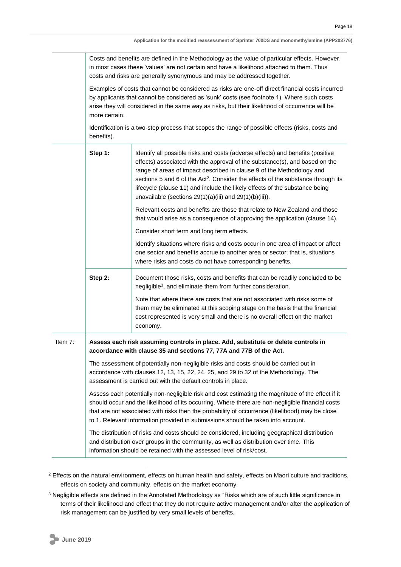|         | Costs and benefits are defined in the Methodology as the value of particular effects. However,<br>in most cases these 'values' are not certain and have a likelihood attached to them. Thus<br>costs and risks are generally synonymous and may be addressed together. |                                                                                                                                                                                                                                                                                                                                                                                                                                                                                       |  |  |
|---------|------------------------------------------------------------------------------------------------------------------------------------------------------------------------------------------------------------------------------------------------------------------------|---------------------------------------------------------------------------------------------------------------------------------------------------------------------------------------------------------------------------------------------------------------------------------------------------------------------------------------------------------------------------------------------------------------------------------------------------------------------------------------|--|--|
|         | more certain.                                                                                                                                                                                                                                                          | Examples of costs that cannot be considered as risks are one-off direct financial costs incurred<br>by applicants that cannot be considered as 'sunk' costs (see footnote 1). Where such costs<br>arise they will considered in the same way as risks, but their likelihood of occurrence will be                                                                                                                                                                                     |  |  |
|         | Identification is a two-step process that scopes the range of possible effects (risks, costs and<br>benefits).                                                                                                                                                         |                                                                                                                                                                                                                                                                                                                                                                                                                                                                                       |  |  |
|         | Step 1:                                                                                                                                                                                                                                                                | Identify all possible risks and costs (adverse effects) and benefits (positive<br>effects) associated with the approval of the substance(s), and based on the<br>range of areas of impact described in clause 9 of the Methodology and<br>sections 5 and 6 of the Act <sup>2</sup> . Consider the effects of the substance through its<br>lifecycle (clause 11) and include the likely effects of the substance being<br>unavailable (sections $29(1)(a)(iii)$ and $29(1)(b)(iii)$ ). |  |  |
|         |                                                                                                                                                                                                                                                                        | Relevant costs and benefits are those that relate to New Zealand and those<br>that would arise as a consequence of approving the application (clause 14).                                                                                                                                                                                                                                                                                                                             |  |  |
|         |                                                                                                                                                                                                                                                                        | Consider short term and long term effects.                                                                                                                                                                                                                                                                                                                                                                                                                                            |  |  |
|         |                                                                                                                                                                                                                                                                        | Identify situations where risks and costs occur in one area of impact or affect<br>one sector and benefits accrue to another area or sector; that is, situations<br>where risks and costs do not have corresponding benefits.                                                                                                                                                                                                                                                         |  |  |
|         | Step 2:                                                                                                                                                                                                                                                                | Document those risks, costs and benefits that can be readily concluded to be<br>negligible <sup>3</sup> , and eliminate them from further consideration.                                                                                                                                                                                                                                                                                                                              |  |  |
|         |                                                                                                                                                                                                                                                                        | Note that where there are costs that are not associated with risks some of<br>them may be eliminated at this scoping stage on the basis that the financial<br>cost represented is very small and there is no overall effect on the market<br>economy.                                                                                                                                                                                                                                 |  |  |
| Item 7: |                                                                                                                                                                                                                                                                        | Assess each risk assuming controls in place. Add, substitute or delete controls in<br>accordance with clause 35 and sections 77, 77A and 77B of the Act.                                                                                                                                                                                                                                                                                                                              |  |  |
|         | The assessment of potentially non-negligible risks and costs should be carried out in<br>accordance with clauses 12, 13, 15, 22, 24, 25, and 29 to 32 of the Methodology. The<br>assessment is carried out with the default controls in place.                         |                                                                                                                                                                                                                                                                                                                                                                                                                                                                                       |  |  |
|         |                                                                                                                                                                                                                                                                        | Assess each potentially non-negligible risk and cost estimating the magnitude of the effect if it<br>should occur and the likelihood of its occurring. Where there are non-negligible financial costs<br>that are not associated with risks then the probability of occurrence (likelihood) may be close<br>to 1. Relevant information provided in submissions should be taken into account.                                                                                          |  |  |
|         | The distribution of risks and costs should be considered, including geographical distribution<br>and distribution over groups in the community, as well as distribution over time. This<br>information should be retained with the assessed level of risk/cost.        |                                                                                                                                                                                                                                                                                                                                                                                                                                                                                       |  |  |

<sup>&</sup>lt;sup>2</sup> Effects on the natural environment, effects on human health and safety, effects on Maori culture and traditions, effects on society and community, effects on the market economy.

<sup>&</sup>lt;sup>3</sup> Negligible effects are defined in the Annotated Methodology as "Risks which are of such little significance in terms of their likelihood and effect that they do not require active management and/or after the application of risk management can be justified by very small levels of benefits.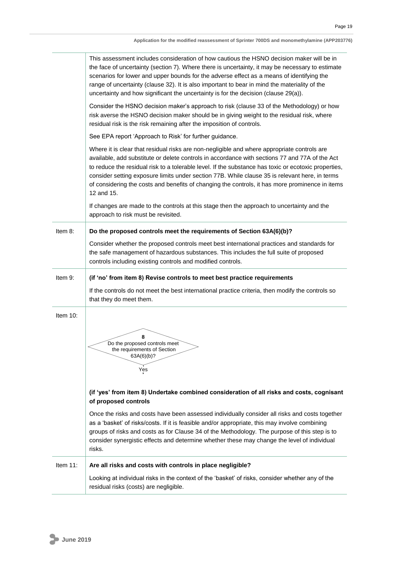|          | This assessment includes consideration of how cautious the HSNO decision maker will be in<br>the face of uncertainty (section 7). Where there is uncertainty, it may be necessary to estimate<br>scenarios for lower and upper bounds for the adverse effect as a means of identifying the<br>range of uncertainty (clause 32). It is also important to bear in mind the materiality of the<br>uncertainty and how significant the uncertainty is for the decision (clause 29(a)).                                              |
|----------|---------------------------------------------------------------------------------------------------------------------------------------------------------------------------------------------------------------------------------------------------------------------------------------------------------------------------------------------------------------------------------------------------------------------------------------------------------------------------------------------------------------------------------|
|          | Consider the HSNO decision maker's approach to risk (clause 33 of the Methodology) or how<br>risk averse the HSNO decision maker should be in giving weight to the residual risk, where<br>residual risk is the risk remaining after the imposition of controls.                                                                                                                                                                                                                                                                |
|          | See EPA report 'Approach to Risk' for further guidance.                                                                                                                                                                                                                                                                                                                                                                                                                                                                         |
|          | Where it is clear that residual risks are non-negligible and where appropriate controls are<br>available, add substitute or delete controls in accordance with sections 77 and 77A of the Act<br>to reduce the residual risk to a tolerable level. If the substance has toxic or ecotoxic properties,<br>consider setting exposure limits under section 77B. While clause 35 is relevant here, in terms<br>of considering the costs and benefits of changing the controls, it has more prominence in items<br>12 and 15.        |
|          | If changes are made to the controls at this stage then the approach to uncertainty and the<br>approach to risk must be revisited.                                                                                                                                                                                                                                                                                                                                                                                               |
| Item 8:  | Do the proposed controls meet the requirements of Section 63A(6)(b)?                                                                                                                                                                                                                                                                                                                                                                                                                                                            |
|          | Consider whether the proposed controls meet best international practices and standards for<br>the safe management of hazardous substances. This includes the full suite of proposed<br>controls including existing controls and modified controls.                                                                                                                                                                                                                                                                              |
| Item 9:  | (if 'no' from item 8) Revise controls to meet best practice requirements                                                                                                                                                                                                                                                                                                                                                                                                                                                        |
|          | If the controls do not meet the best international practice criteria, then modify the controls so<br>that they do meet them.                                                                                                                                                                                                                                                                                                                                                                                                    |
| Item 10: | 8<br>Do the proposed controls meet<br>the requirements of Section<br>63A(6)(b)?<br>Yes                                                                                                                                                                                                                                                                                                                                                                                                                                          |
|          | (if 'yes' from item 8) Undertake combined consideration of all risks and costs, cognisant<br>of proposed controls<br>Once the risks and costs have been assessed individually consider all risks and costs together<br>as a 'basket' of risks/costs. If it is feasible and/or appropriate, this may involve combining<br>groups of risks and costs as for Clause 34 of the Methodology. The purpose of this step is to<br>consider synergistic effects and determine whether these may change the level of individual<br>risks. |
| Item 11: | Are all risks and costs with controls in place negligible?                                                                                                                                                                                                                                                                                                                                                                                                                                                                      |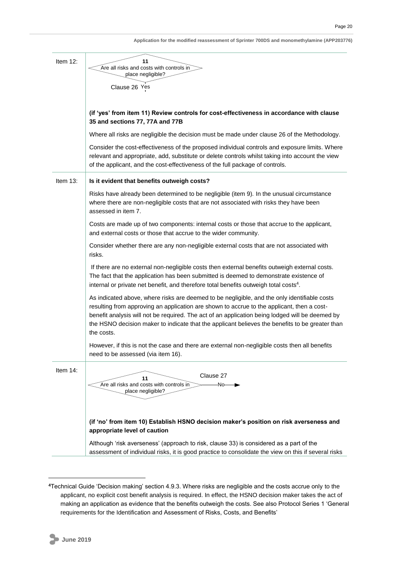| Item 12:    | 11                                                                                                                                                                                                                                                                                                                                                                                                             |
|-------------|----------------------------------------------------------------------------------------------------------------------------------------------------------------------------------------------------------------------------------------------------------------------------------------------------------------------------------------------------------------------------------------------------------------|
|             | Are all risks and costs with controls in<br>place negligible?                                                                                                                                                                                                                                                                                                                                                  |
|             | Clause 26 Yes                                                                                                                                                                                                                                                                                                                                                                                                  |
|             |                                                                                                                                                                                                                                                                                                                                                                                                                |
|             | (if 'yes' from item 11) Review controls for cost-effectiveness in accordance with clause                                                                                                                                                                                                                                                                                                                       |
|             | 35 and sections 77, 77A and 77B                                                                                                                                                                                                                                                                                                                                                                                |
|             | Where all risks are negligible the decision must be made under clause 26 of the Methodology.                                                                                                                                                                                                                                                                                                                   |
|             | Consider the cost-effectiveness of the proposed individual controls and exposure limits. Where<br>relevant and appropriate, add, substitute or delete controls whilst taking into account the view<br>of the applicant, and the cost-effectiveness of the full package of controls.                                                                                                                            |
| Item $13$ : | Is it evident that benefits outweigh costs?                                                                                                                                                                                                                                                                                                                                                                    |
|             | Risks have already been determined to be negligible (item 9). In the unusual circumstance<br>where there are non-negligible costs that are not associated with risks they have been<br>assessed in item 7.                                                                                                                                                                                                     |
|             | Costs are made up of two components: internal costs or those that accrue to the applicant,<br>and external costs or those that accrue to the wider community.                                                                                                                                                                                                                                                  |
|             | Consider whether there are any non-negligible external costs that are not associated with<br>risks.                                                                                                                                                                                                                                                                                                            |
|             | If there are no external non-negligible costs then external benefits outweigh external costs.<br>The fact that the application has been submitted is deemed to demonstrate existence of<br>internal or private net benefit, and therefore total benefits outweigh total costs <sup>4</sup> .                                                                                                                   |
|             | As indicated above, where risks are deemed to be negligible, and the only identifiable costs<br>resulting from approving an application are shown to accrue to the applicant, then a cost-<br>benefit analysis will not be required. The act of an application being lodged will be deemed by<br>the HSNO decision maker to indicate that the applicant believes the benefits to be greater than<br>the costs. |
|             | However, if this is not the case and there are external non-negligible costs then all benefits<br>need to be assessed (via item 16).                                                                                                                                                                                                                                                                           |
| Item 14:    | Clause 27<br>11<br>Are all risks and costs with controls in<br>$-No \longrightarrow$<br>place negligible?                                                                                                                                                                                                                                                                                                      |
|             | (if 'no' from item 10) Establish HSNO decision maker's position on risk averseness and<br>appropriate level of caution                                                                                                                                                                                                                                                                                         |
|             | Although 'risk averseness' (approach to risk, clause 33) is considered as a part of the<br>assessment of individual risks, it is good practice to consolidate the view on this if several risks                                                                                                                                                                                                                |

**<sup>4</sup>**Technical Guide 'Decision making' section 4.9.3. Where risks are negligible and the costs accrue only to the applicant, no explicit cost benefit analysis is required. In effect, the HSNO decision maker takes the act of making an application as evidence that the benefits outweigh the costs. See also Protocol Series 1 'General requirements for the Identification and Assessment of Risks, Costs, and Benefits'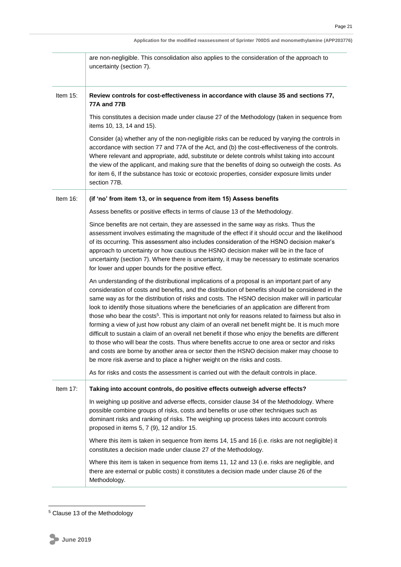|             | are non-negligible. This consolidation also applies to the consideration of the approach to<br>uncertainty (section 7).                                                                                                                                                                                                                                                                                                                                                                                                                                                                                                                                                                                                                                                                                                                                                                                                                                                                                      |
|-------------|--------------------------------------------------------------------------------------------------------------------------------------------------------------------------------------------------------------------------------------------------------------------------------------------------------------------------------------------------------------------------------------------------------------------------------------------------------------------------------------------------------------------------------------------------------------------------------------------------------------------------------------------------------------------------------------------------------------------------------------------------------------------------------------------------------------------------------------------------------------------------------------------------------------------------------------------------------------------------------------------------------------|
| Item $15$ : | Review controls for cost-effectiveness in accordance with clause 35 and sections 77,<br><b>77A and 77B</b>                                                                                                                                                                                                                                                                                                                                                                                                                                                                                                                                                                                                                                                                                                                                                                                                                                                                                                   |
|             | This constitutes a decision made under clause 27 of the Methodology (taken in sequence from<br>items 10, 13, 14 and 15).                                                                                                                                                                                                                                                                                                                                                                                                                                                                                                                                                                                                                                                                                                                                                                                                                                                                                     |
|             | Consider (a) whether any of the non-negligible risks can be reduced by varying the controls in<br>accordance with section 77 and 77A of the Act, and (b) the cost-effectiveness of the controls.<br>Where relevant and appropriate, add, substitute or delete controls whilst taking into account<br>the view of the applicant, and making sure that the benefits of doing so outweigh the costs. As<br>for item 6, If the substance has toxic or ecotoxic properties, consider exposure limits under<br>section 77B.                                                                                                                                                                                                                                                                                                                                                                                                                                                                                        |
| Item 16:    | (if 'no' from item 13, or in sequence from item 15) Assess benefits                                                                                                                                                                                                                                                                                                                                                                                                                                                                                                                                                                                                                                                                                                                                                                                                                                                                                                                                          |
|             | Assess benefits or positive effects in terms of clause 13 of the Methodology.                                                                                                                                                                                                                                                                                                                                                                                                                                                                                                                                                                                                                                                                                                                                                                                                                                                                                                                                |
|             | Since benefits are not certain, they are assessed in the same way as risks. Thus the<br>assessment involves estimating the magnitude of the effect if it should occur and the likelihood<br>of its occurring. This assessment also includes consideration of the HSNO decision maker's<br>approach to uncertainty or how cautious the HSNO decision maker will be in the face of<br>uncertainty (section 7). Where there is uncertainty, it may be necessary to estimate scenarios<br>for lower and upper bounds for the positive effect.                                                                                                                                                                                                                                                                                                                                                                                                                                                                    |
|             | An understanding of the distributional implications of a proposal is an important part of any<br>consideration of costs and benefits, and the distribution of benefits should be considered in the<br>same way as for the distribution of risks and costs. The HSNO decision maker will in particular<br>look to identify those situations where the beneficiaries of an application are different from<br>those who bear the costs <sup>5</sup> . This is important not only for reasons related to fairness but also in<br>forming a view of just how robust any claim of an overall net benefit might be. It is much more<br>difficult to sustain a claim of an overall net benefit if those who enjoy the benefits are different<br>to those who will bear the costs. Thus where benefits accrue to one area or sector and risks<br>and costs are borne by another area or sector then the HSNO decision maker may choose to<br>be more risk averse and to place a higher weight on the risks and costs. |
|             | As for risks and costs the assessment is carried out with the default controls in place.                                                                                                                                                                                                                                                                                                                                                                                                                                                                                                                                                                                                                                                                                                                                                                                                                                                                                                                     |
| Item $17$ : | Taking into account controls, do positive effects outweigh adverse effects?                                                                                                                                                                                                                                                                                                                                                                                                                                                                                                                                                                                                                                                                                                                                                                                                                                                                                                                                  |
|             | In weighing up positive and adverse effects, consider clause 34 of the Methodology. Where<br>possible combine groups of risks, costs and benefits or use other techniques such as<br>dominant risks and ranking of risks. The weighing up process takes into account controls<br>proposed in items 5, 7 (9), 12 and/or 15.                                                                                                                                                                                                                                                                                                                                                                                                                                                                                                                                                                                                                                                                                   |
|             | Where this item is taken in sequence from items 14, 15 and 16 (i.e. risks are not negligible) it<br>constitutes a decision made under clause 27 of the Methodology.                                                                                                                                                                                                                                                                                                                                                                                                                                                                                                                                                                                                                                                                                                                                                                                                                                          |
|             | Where this item is taken in sequence from items 11, 12 and 13 (i.e. risks are negligible, and<br>there are external or public costs) it constitutes a decision made under clause 26 of the<br>Methodology.                                                                                                                                                                                                                                                                                                                                                                                                                                                                                                                                                                                                                                                                                                                                                                                                   |

<sup>&</sup>lt;sup>5</sup> Clause 13 of the Methodology